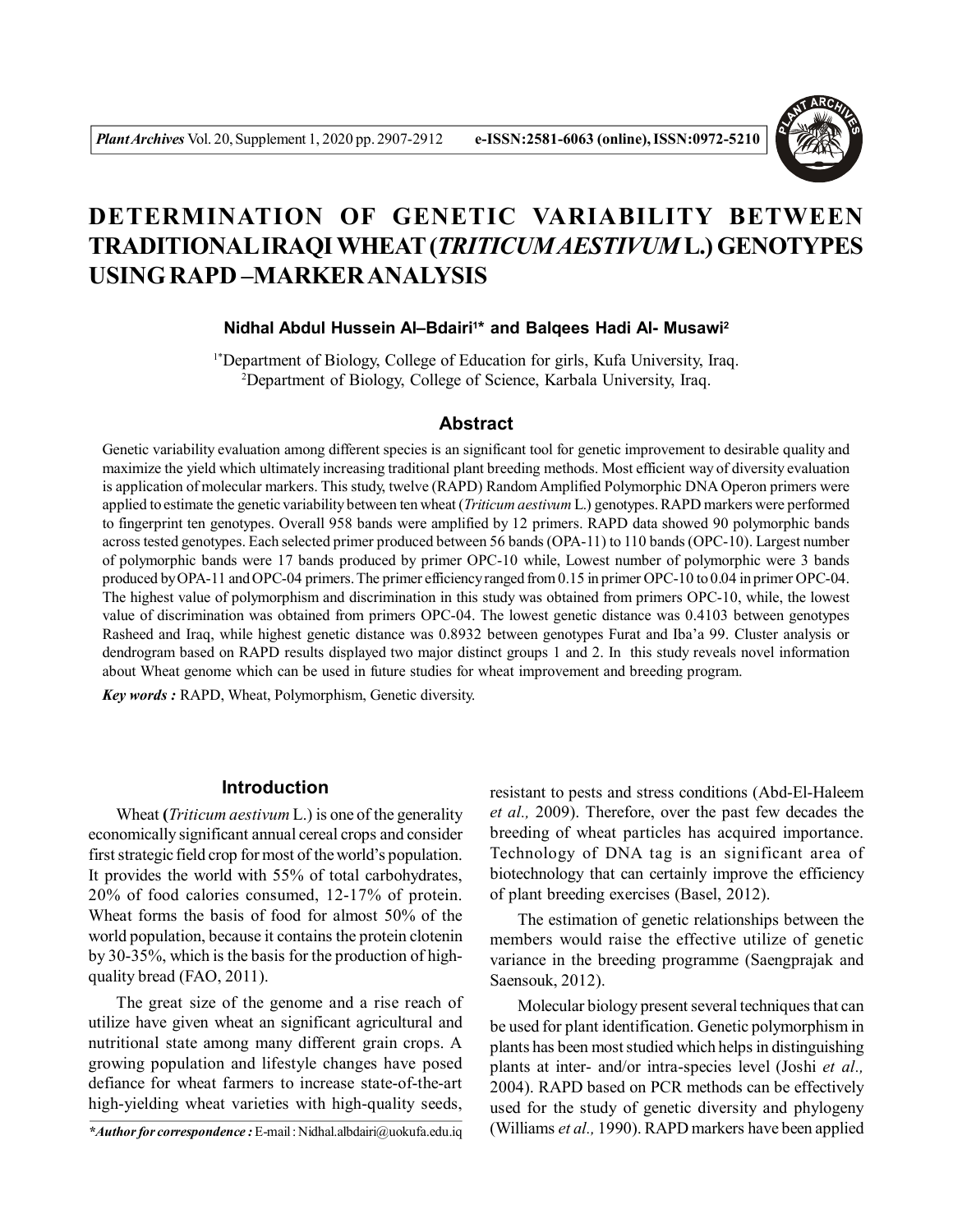

# **DETERMINATION OF GENETIC VARIABILITY BETWEEN TRADITIONAL IRAQI WHEAT (***TRITICUM AESTIVUM* **L.) GENOTYPES USING RAPD –MARKER ANALYSIS**

# **Nidhal Abdul Hussein Al–Bdairi<sup>1</sup> \* and Balqees Hadi Al- Musawi<sup>2</sup>**

1\*Department of Biology, College of Education for girls, Kufa University, Iraq. <sup>2</sup>Department of Biology, College of Science, Karbala University, Iraq.

# **Abstract**

Genetic variability evaluation among different species is an significant tool for genetic improvement to desirable quality and maximize the yield which ultimately increasing traditional plant breeding methods. Most efficient way of diversity evaluation is application of molecular markers. This study, twelve (RAPD) Random Amplified Polymorphic DNA Operon primers were applied to estimate the genetic variability between ten wheat (*Triticum aestivum* L.) genotypes. RAPD markers were performed to fingerprint ten genotypes. Overall 958 bands were amplified by 12 primers. RAPD data showed 90 polymorphic bands across tested genotypes. Each selected primer produced between 56 bands (OPA-11) to 110 bands (OPC-10). Largest number of polymorphic bands were 17 bands produced by primer OPC-10 while, Lowest number of polymorphic were 3 bands produced by OPA-11 and OPC-04 primers. The primer efficiency ranged from 0.15 in primer OPC-10 to 0.04 in primer OPC-04. The highest value of polymorphism and discrimination in this study was obtained from primers OPC-10, while, the lowest value of discrimination was obtained from primers OPC-04. The lowest genetic distance was 0.4103 between genotypes Rasheed and Iraq, while highest genetic distance was 0.8932 between genotypes Furat and Iba'a 99. Cluster analysis or dendrogram based on RAPD results displayed two major distinct groups 1 and 2. In this study reveals novel information about Wheat genome which can be used in future studies for wheat improvement and breeding program.

*Key words :* RAPD, Wheat, Polymorphism, Genetic diversity.

# **Introduction**

Wheat **(***Triticum aestivum* L.) is one of the generality economically significant annual cereal crops and consider first strategic field crop for most of the world's population. It provides the world with 55% of total carbohydrates, 20% of food calories consumed, 12-17% of protein. Wheat forms the basis of food for almost 50% of the world population, because it contains the protein clotenin by 30-35%, which is the basis for the production of highquality bread (FAO, 2011).

The great size of the genome and a rise reach of utilize have given wheat an significant agricultural and nutritional state among many different grain crops. A growing population and lifestyle changes have posed defiance for wheat farmers to increase state-of-the-art high-yielding wheat varieties with high-quality seeds,

resistant to pests and stress conditions (Abd-El-Haleem *et al.,* 2009). Therefore, over the past few decades the breeding of wheat particles has acquired importance. Technology of DNA tag is an significant area of biotechnology that can certainly improve the efficiency of plant breeding exercises (Basel, 2012).

The estimation of genetic relationships between the members would raise the effective utilize of genetic variance in the breeding programme (Saengprajak and Saensouk, 2012).

Molecular biology present several techniques that can be used for plant identification. Genetic polymorphism in plants has been most studied which helps in distinguishing plants at inter- and/or intra-species level (Joshi *et al.,* 2004). RAPD based on PCR methods can be effectively used for the study of genetic diversity and phylogeny (Williams *et al.,* 1990). RAPD markers have been applied

*<sup>\*</sup>Author for correspondence :* E-mail : Nidhal.albdairi@uokufa.edu.iq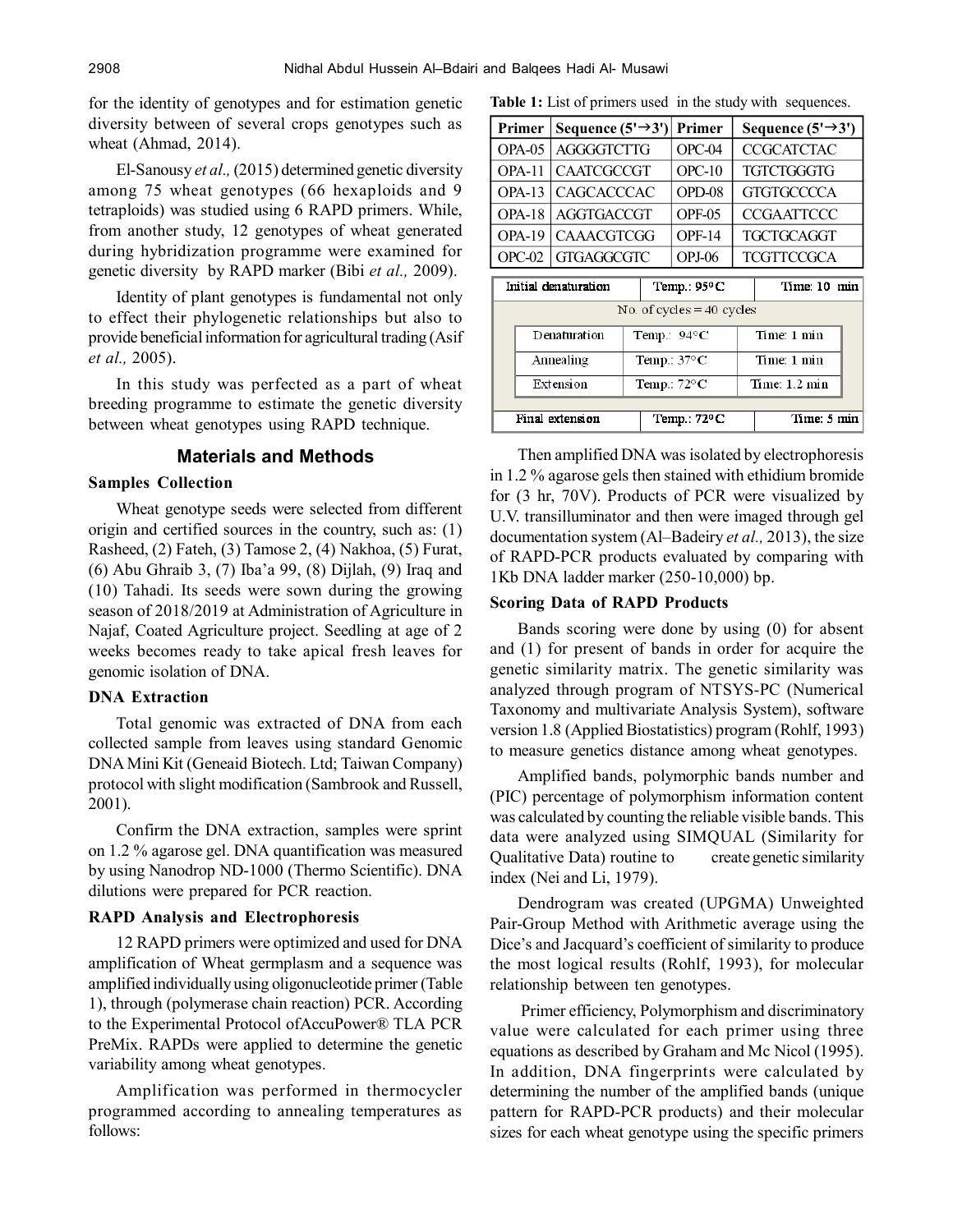for the identity of genotypes and for estimation genetic diversity between of several crops genotypes such as wheat (Ahmad, 2014).

El-Sanousy *et al.,* (2015) determined genetic diversity among 75 wheat genotypes (66 hexaploids and 9 tetraploids) was studied using 6 RAPD primers. While, from another study, 12 genotypes of wheat generated during hybridization programme were examined for genetic diversity by RAPD marker (Bibi *et al.,* 2009).

Identity of plant genotypes is fundamental not only to effect their phylogenetic relationships but also to provide beneficial information for agricultural trading (Asif *et al.,* 2005).

In this study was perfected as a part of wheat breeding programme to estimate the genetic diversity between wheat genotypes using RAPD technique.

# **Materials and Methods**

## **Samples Collection**

Wheat genotype seeds were selected from different origin and certified sources in the country, such as: (1) Rasheed, (2) Fateh, (3) Tamose 2, (4) Nakhoa, (5) Furat, (6) Abu Ghraib 3, (7) Iba'a 99, (8) Dijlah, (9) Iraq and (10) Tahadi. Its seeds were sown during the growing season of 2018/2019 at Administration of Agriculture in Najaf, Coated Agriculture project. Seedling at age of 2 weeks becomes ready to take apical fresh leaves for genomic isolation of DNA.

### **DNA Extraction**

Total genomic was extracted of DNA from each collected sample from leaves using standard Genomic DNA Mini Kit (Geneaid Biotech. Ltd; Taiwan Company) protocol with slight modification (Sambrook and Russell, 2001).

Confirm the DNA extraction, samples were sprint on 1.2 % agarose gel. DNA quantification was measured by using Nanodrop ND-1000 (Thermo Scientific). DNA dilutions were prepared for PCR reaction.

# **RAPD Analysis and Electrophoresis**

12 RAPD primers were optimized and used for DNA amplification of Wheat germplasm and a sequence was amplified individually using oligonucleotide primer (Table 1), through (polymerase chain reaction) PCR. According to the Experimental Protocol ofAccuPower® TLA PCR PreMix. RAPDs were applied to determine the genetic variability among wheat genotypes.

Amplification was performed in thermocycler programmed according to annealing temperatures as follows:

Table 1: List of primers used in the study with sequences.

| Primer   | Sequence $(5' \rightarrow 3')$ Primer |          | Sequence $(5' \rightarrow 3')$ |
|----------|---------------------------------------|----------|--------------------------------|
| OPA-05   | <b>AGGGGTCTTG</b>                     | $OPC-04$ | <b>CCGCATCTAC</b>              |
| OPA-11   | <b>CAATCGCCGT</b>                     | $OPC-10$ | <b>TGTCTGGGTG</b>              |
|          | OPA-13   CAGCACCCAC                   | OPD-08   | <b>GTGTGCCCCA</b>              |
| $OPA-18$ | <b>AGGTGACCGT</b>                     | OPF-05   | <b>CCGAATTCCC</b>              |
| OPA-19   | <b>CAAACGTCGG</b>                     | OPF-14   | <b>TGCTGCAGGT</b>              |
| $OPC-02$ | <b>GTGAGGCGTC</b>                     | $OPJ-06$ | <b>TCGTTCCGCA</b>              |

| Initial denaturation        |              |                       | Temp.: $95^{\circ}$ C | Time: 10 min |                         |  |  |  |  |
|-----------------------------|--------------|-----------------------|-----------------------|--------------|-------------------------|--|--|--|--|
| No. of cycles $=$ 40 cycles |              |                       |                       |              |                         |  |  |  |  |
|                             | Denaturation |                       | Temp.: 94°C           |              | Time: 1 min             |  |  |  |  |
|                             | Annealing    |                       | Temp.: $37^{\circ}$ C |              | Time: 1 min             |  |  |  |  |
|                             | Extension    | Temp.: $72^{\circ}$ C |                       |              | Time: $1.2 \text{ min}$ |  |  |  |  |
| Final extension             |              |                       | Temp.: $72^{\circ}$ C |              | Time: 5 min             |  |  |  |  |

Then amplified DNA was isolated by electrophoresis in 1.2 % agarose gels then stained with ethidium bromide for (3 hr, 70V). Products of PCR were visualized by U.V. transilluminator and then were imaged through gel documentation system (Al–Badeiry *et al.,* 2013), the size of RAPD-PCR products evaluated by comparing with 1Kb DNA ladder marker (250-10,000) bp.

#### **Scoring Data of RAPD Products**

Bands scoring were done by using (0) for absent and (1) for present of bands in order for acquire the genetic similarity matrix. The genetic similarity was analyzed through program of NTSYS-PC (Numerical Taxonomy and multivariate Analysis System), software version 1.8 (Applied Biostatistics) program (Rohlf, 1993) to measure genetics distance among wheat genotypes.

Amplified bands, polymorphic bands number and (PIC) percentage of polymorphism information content was calculated by counting the reliable visible bands. This data were analyzed using SIMQUAL (Similarity for Qualitative Data) routine to create genetic similarity index (Nei and Li, 1979).

Dendrogram was created (UPGMA) Unweighted Pair-Group Method with Arithmetic average using the Dice's and Jacquard's coefficient of similarity to produce the most logical results (Rohlf, 1993), for molecular relationship between ten genotypes.

 Primer efficiency, Polymorphism and discriminatory value were calculated for each primer using three equations as described by Graham and Mc Nicol (1995). In addition, DNA fingerprints were calculated by determining the number of the amplified bands (unique pattern for RAPD-PCR products) and their molecular sizes for each wheat genotype using the specific primers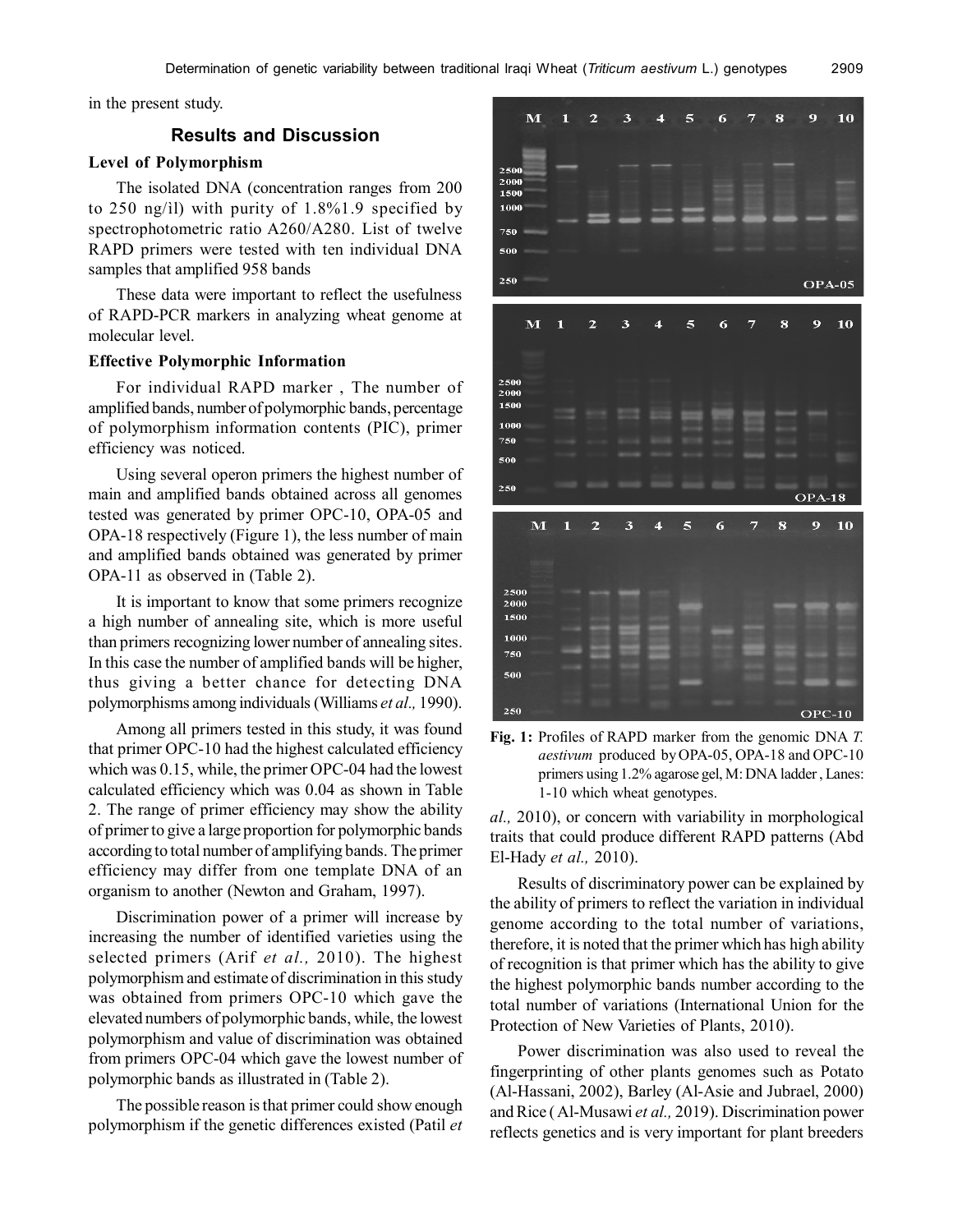in the present study.

## **Results and Discussion**

# **Level of Polymorphism**

The isolated DNA (concentration ranges from 200 to 250 ng/ìl) with purity of 1.8%1.9 specified by spectrophotometric ratio A260/A280. List of twelve RAPD primers were tested with ten individual DNA samples that amplified 958 bands

These data were important to reflect the usefulness of RAPD-PCR markers in analyzing wheat genome at molecular level.

## **Effective Polymorphic Information**

For individual RAPD marker , The number of amplified bands, number of polymorphic bands, percentage of polymorphism information contents (PIC), primer efficiency was noticed.

Using several operon primers the highest number of main and amplified bands obtained across all genomes tested was generated by primer OPC-10, OPA-05 and OPA-18 respectively (Figure 1), the less number of main and amplified bands obtained was generated by primer OPA-11 as observed in (Table 2).

It is important to know that some primers recognize a high number of annealing site, which is more useful than primers recognizing lower number of annealing sites. In this case the number of amplified bands will be higher, thus giving a better chance for detecting DNA polymorphisms among individuals (Williams *et al.,* 1990).

Among all primers tested in this study, it was found that primer OPC-10 had the highest calculated efficiency which was 0.15, while, the primer OPC-04 had the lowest calculated efficiency which was 0.04 as shown in Table 2. The range of primer efficiency may show the ability of primer to give a large proportion for polymorphic bands according to total number of amplifying bands. The primer efficiency may differ from one template DNA of an organism to another (Newton and Graham, 1997).

Discrimination power of a primer will increase by increasing the number of identified varieties using the selected primers (Arif *et al.,* 2010). The highest polymorphism and estimate of discrimination in this study was obtained from primers OPC-10 which gave the elevated numbers of polymorphic bands, while, the lowest polymorphism and value of discrimination was obtained from primers OPC-04 which gave the lowest number of polymorphic bands as illustrated in (Table 2).

The possible reason is that primer could show enough polymorphism if the genetic differences existed (Patil *et*





*al.,* 2010), or concern with variability in morphological traits that could produce different RAPD patterns (Abd El-Hady *et al.,* 2010).

Results of discriminatory power can be explained by the ability of primers to reflect the variation in individual genome according to the total number of variations, therefore, it is noted that the primer which has high ability of recognition is that primer which has the ability to give the highest polymorphic bands number according to the total number of variations (International Union for the Protection of New Varieties of Plants, 2010).

Power discrimination was also used to reveal the fingerprinting of other plants genomes such as Potato (Al-Hassani, 2002), Barley (Al-Asie and Jubrael, 2000) and Rice ( Al-Musawi *et al.,* 2019). Discrimination power reflects genetics and is very important for plant breeders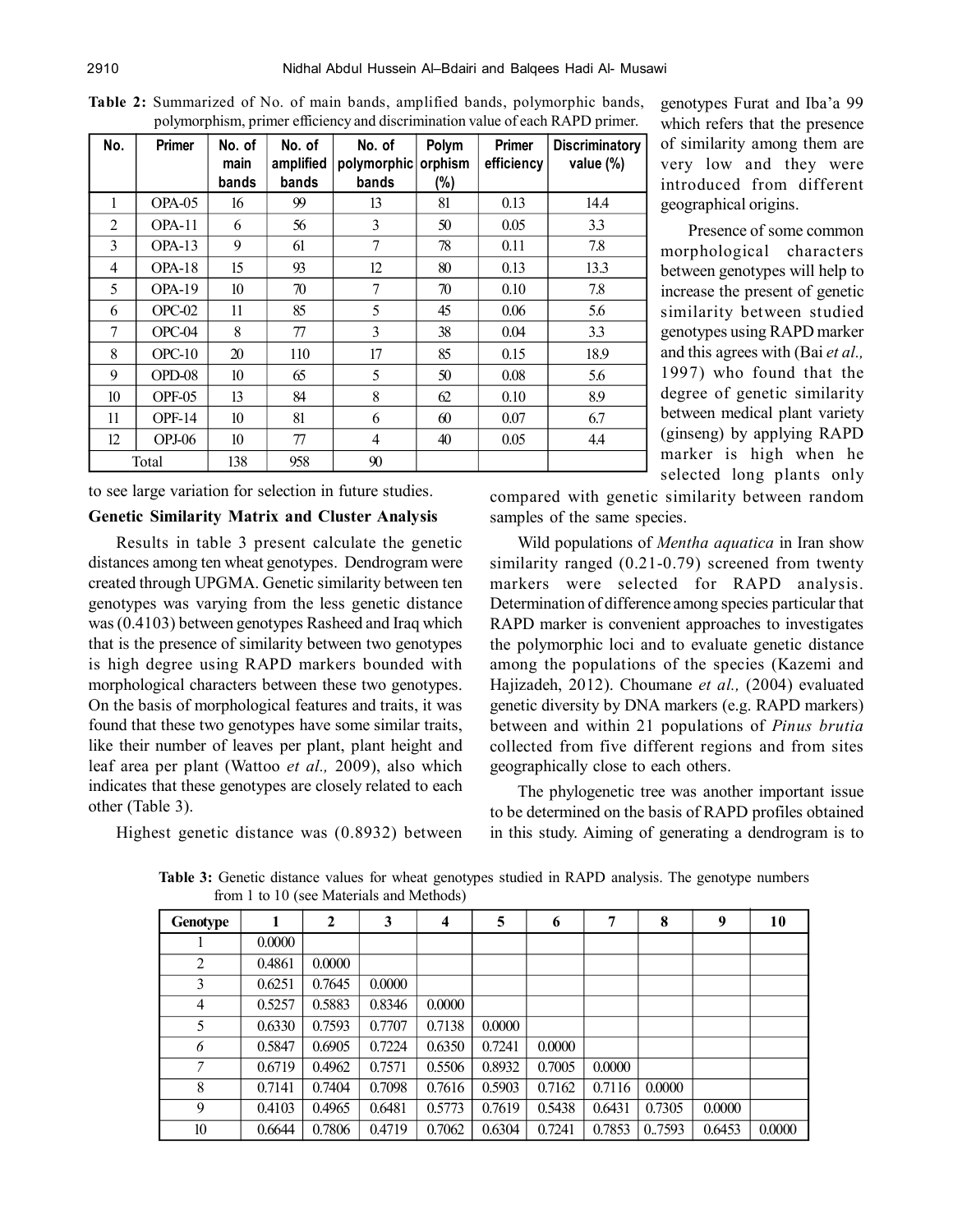| r -- , ----- r -------, r - |               |                         |                              |                                |                            |                      |                                    |  |
|-----------------------------|---------------|-------------------------|------------------------------|--------------------------------|----------------------------|----------------------|------------------------------------|--|
| No.                         | Primer        | No. of<br>main<br>bands | No. of<br>amplified<br>bands | No. of<br>polymorphic<br>bands | Polym<br>orphism<br>$(\%)$ | Primer<br>efficiency | <b>Discriminatory</b><br>value (%) |  |
| 1                           | OPA-05        | 16                      | 99                           | 13                             | 81                         | 0.13                 | 14.4                               |  |
| 2                           | OPA-11        | 6                       | 56                           | 3                              | 50                         | 0.05                 | 3.3                                |  |
| 3                           | OPA-13        | 9                       | 61                           | 7                              | 78                         | 0.11                 | 7.8                                |  |
| $\overline{4}$              | $OPA-18$      | 15                      | 93                           | 12                             | 80                         | 0.13                 | 13.3                               |  |
| 5                           | OPA-19        | 10                      | 70                           | 7                              | 70                         | 0.10                 | 7.8                                |  |
| 6                           | $OPC-02$      | 11                      | 85                           | 5                              | 45                         | 0.06                 | 5.6                                |  |
| $\tau$                      | $OPC-04$      | 8                       | 77                           | 3                              | 38                         | 0.04                 | 3.3                                |  |
| 8                           | $OPC-10$      | 20                      | 110                          | 17                             | 85                         | 0.15                 | 18.9                               |  |
| 9                           | OPD-08        | 10                      | 65                           | 5                              | 50                         | 0.08                 | 5.6                                |  |
| 10                          | OPF-05        | 13                      | 84                           | 8                              | 62                         | 0.10                 | 8.9                                |  |
| 11                          | <b>OPF-14</b> | 10                      | 81                           | 6                              | 60                         | 0.07                 | 6.7                                |  |
| 12                          | $OPJ-06$      | 10                      | 77                           | 4                              | 40                         | 0.05                 | 4.4                                |  |
|                             | Total         | 138                     | 958                          | 90                             |                            |                      |                                    |  |

**Table 2:** Summarized of No. of main bands, amplified bands, polymorphic bands, polymorphism, primer efficiency and discrimination value of each RAPD primer.

to see large variation for selection in future studies.

## **Genetic Similarity Matrix and Cluster Analysis**

Results in table 3 present calculate the genetic distances among ten wheat genotypes. Dendrogram were created through UPGMA. Genetic similarity between ten genotypes was varying from the less genetic distance was (0.4103) between genotypes Rasheed and Iraq which that is the presence of similarity between two genotypes is high degree using RAPD markers bounded with morphological characters between these two genotypes. On the basis of morphological features and traits, it was found that these two genotypes have some similar traits, like their number of leaves per plant, plant height and leaf area per plant (Wattoo *et al.,* 2009), also which indicates that these genotypes are closely related to each other (Table 3).

Highest genetic distance was (0.8932) between

which refers that the presence of similarity among them are very low and they were introduced from different geographical origins.

genotypes Furat and Iba'a 99

Presence of some common morphological characters between genotypes will help to increase the present of genetic similarity between studied genotypes using RAPD marker and this agrees with (Bai *et al.,* 1997) who found that the degree of genetic similarity between medical plant variety (ginseng) by applying RAPD marker is high when he selected long plants only

compared with genetic similarity between random samples of the same species.

Wild populations of *Mentha aquatica* in Iran show similarity ranged (0.21-0.79) screened from twenty markers were selected for RAPD analysis. Determination of difference among species particular that RAPD marker is convenient approaches to investigates the polymorphic loci and to evaluate genetic distance among the populations of the species (Kazemi and Hajizadeh, 2012). Choumane *et al.,* (2004) evaluated genetic diversity by DNA markers (e.g. RAPD markers) between and within 21 populations of *Pinus brutia* collected from five different regions and from sites geographically close to each others.

The phylogenetic tree was another important issue to be determined on the basis of RAPD profiles obtained in this study. Aiming of generating a dendrogram is to

| <b>Genotype</b> |        | 2      | 3      | 4      | 5      | 6      | 7      | 8      | 9      | 10     |
|-----------------|--------|--------|--------|--------|--------|--------|--------|--------|--------|--------|
|                 | 0.0000 |        |        |        |        |        |        |        |        |        |
| $\overline{2}$  | 0.4861 | 0.0000 |        |        |        |        |        |        |        |        |
| 3               | 0.6251 | 0.7645 | 0.0000 |        |        |        |        |        |        |        |
| $\overline{4}$  | 0.5257 | 0.5883 | 0.8346 | 0.0000 |        |        |        |        |        |        |
| 5               | 0.6330 | 0.7593 | 0.7707 | 0.7138 | 0.0000 |        |        |        |        |        |
| 6               | 0.5847 | 0.6905 | 0.7224 | 0.6350 | 0.7241 | 0.0000 |        |        |        |        |
| 7               | 0.6719 | 0.4962 | 0.7571 | 0.5506 | 0.8932 | 0.7005 | 0.0000 |        |        |        |
| 8               | 0.7141 | 0.7404 | 0.7098 | 0.7616 | 0.5903 | 0.7162 | 0.7116 | 0.0000 |        |        |
| 9               | 0.4103 | 0.4965 | 0.6481 | 0.5773 | 0.7619 | 0.5438 | 0.6431 | 0.7305 | 0.0000 |        |
| 10              | 0.6644 | 0.7806 | 0.4719 | 0.7062 | 0.6304 | 0.7241 | 0.7853 | 0.7593 | 0.6453 | 0.0000 |

**Table 3:** Genetic distance values for wheat genotypes studied in RAPD analysis. The genotype numbers from 1 to 10 (see Materials and Methods)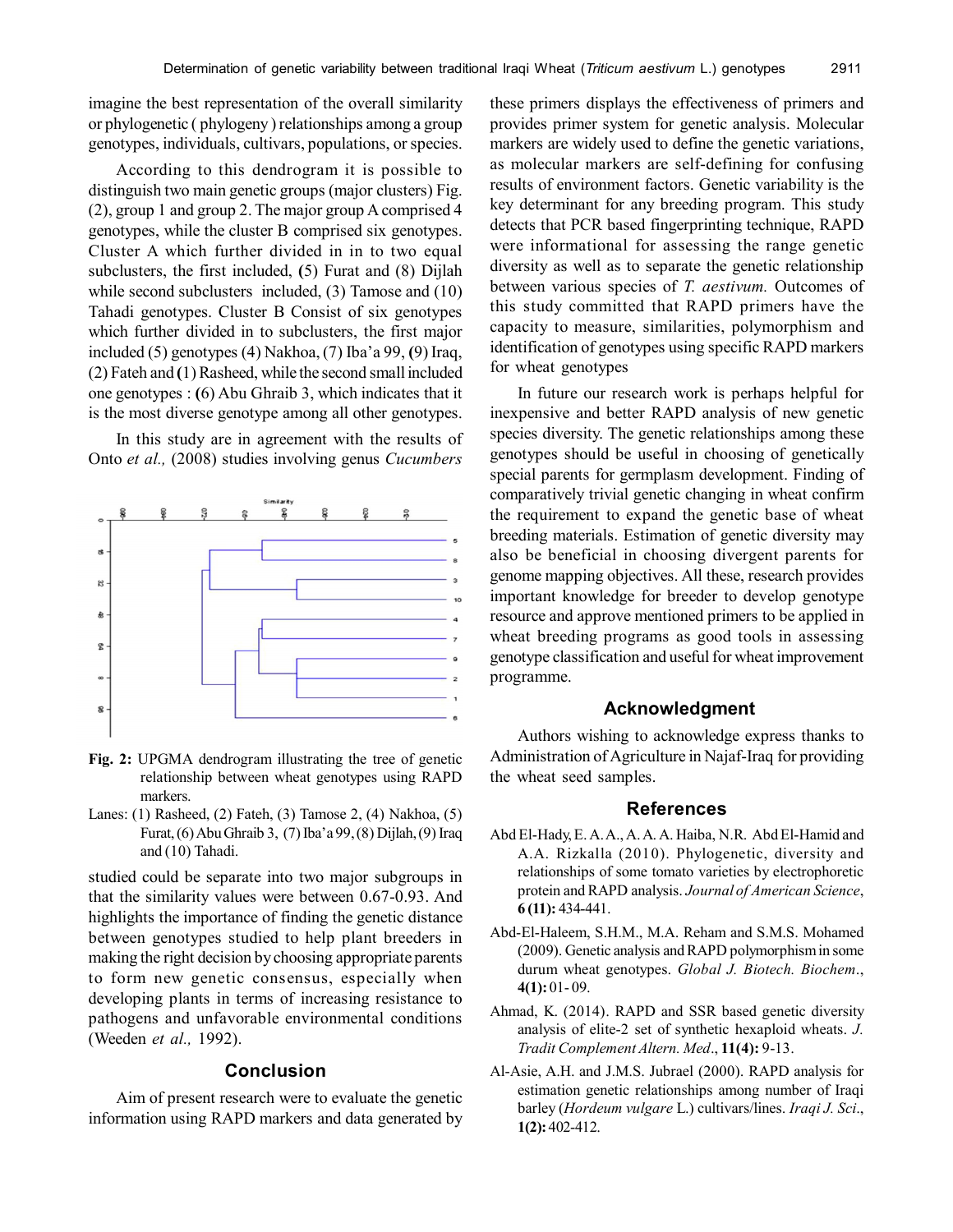imagine the best representation of the overall similarity or phylogenetic ( phylogeny ) relationships among a group genotypes, individuals, cultivars, populations, or species.

According to this dendrogram it is possible to distinguish two main genetic groups (major clusters) Fig. (2), group 1 and group 2. The major group A comprised 4 genotypes, while the cluster B comprised six genotypes. Cluster A which further divided in in to two equal subclusters, the first included, **(**5) Furat and (8) Dijlah while second subclusters included, (3) Tamose and (10) Tahadi genotypes. Cluster B Consist of six genotypes which further divided in to subclusters, the first major included (5) genotypes (4) Nakhoa, (7) Iba'a 99, **(**9) Iraq, (2) Fateh and **(**1) Rasheed, while the second small included one genotypes : **(**6) Abu Ghraib 3, which indicates that it is the most diverse genotype among all other genotypes.

In this study are in agreement with the results of Onto *et al.,* (2008) studies involving genus *Cucumbers*



- **Fig. 2:** UPGMA dendrogram illustrating the tree of genetic relationship between wheat genotypes using RAPD markers.
- Lanes: (1) Rasheed, (2) Fateh, (3) Tamose 2, (4) Nakhoa, (5) Furat, (6) Abu Ghraib 3, (7) Iba'a 99, (8) Dijlah, (9) Iraq and (10) Tahadi.

studied could be separate into two major subgroups in that the similarity values were between 0.67-0.93. And highlights the importance of finding the genetic distance between genotypes studied to help plant breeders in making the right decision by choosing appropriate parents to form new genetic consensus, especially when developing plants in terms of increasing resistance to pathogens and unfavorable environmental conditions (Weeden *et al.,* 1992).

# **Conclusion**

Aim of present research were to evaluate the genetic information using RAPD markers and data generated by these primers displays the effectiveness of primers and provides primer system for genetic analysis. Molecular markers are widely used to define the genetic variations, as molecular markers are self-defining for confusing results of environment factors. Genetic variability is the key determinant for any breeding program. This study detects that PCR based fingerprinting technique, RAPD were informational for assessing the range genetic diversity as well as to separate the genetic relationship between various species of *T. aestivum.* Outcomes of this study committed that RAPD primers have the capacity to measure, similarities, polymorphism and identification of genotypes using specific RAPD markers for wheat genotypes

In future our research work is perhaps helpful for inexpensive and better RAPD analysis of new genetic species diversity. The genetic relationships among these genotypes should be useful in choosing of genetically special parents for germplasm development. Finding of comparatively trivial genetic changing in wheat confirm the requirement to expand the genetic base of wheat breeding materials. Estimation of genetic diversity may also be beneficial in choosing divergent parents for genome mapping objectives. All these, research provides important knowledge for breeder to develop genotype resource and approve mentioned primers to be applied in wheat breeding programs as good tools in assessing genotype classification and useful for wheat improvement programme.

# **Acknowledgment**

Authors wishing to acknowledge express thanks to Administration of Agriculture in Najaf-Iraq for providing the wheat seed samples.

## **References**

- Abd El-Hady, E. A. A., A. A. A. Haiba, N.R. Abd El-Hamid and A.A. Rizkalla (2010). Phylogenetic, diversity and relationships of some tomato varieties by electrophoretic protein and RAPD analysis. *Journal of American Science*, **6 (11):** 434-441.
- Abd-El-Haleem, S.H.M., M.A. Reham and S.M.S. Mohamed (2009). Genetic analysis and RAPD polymorphism in some durum wheat genotypes. *Global J. Biotech. Biochem*., **4(1):** 01- 09.
- Ahmad, K. (2014). RAPD and SSR based genetic diversity analysis of elite-2 set of synthetic hexaploid wheats. *J. Tradit Complement Altern. Med*., **11(4):** 9-13.
- Al-Asie, A.H. and J.M.S. Jubrael (2000). RAPD analysis for estimation genetic relationships among number of Iraqi barley (*Hordeum vulgare* L.) cultivars/lines. *Iraqi J. Sci*., **1(2):** 402-412.